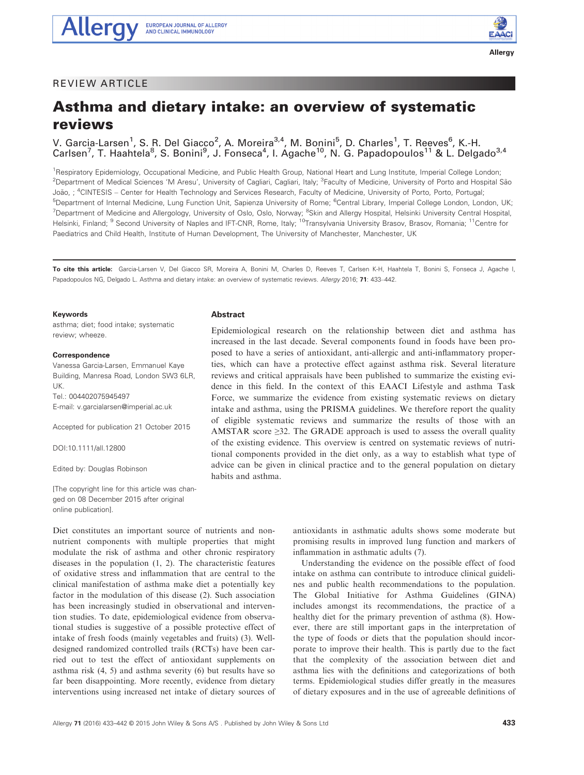

# Asthma and dietary intake: an overview of systematic reviews

V. Garcia-Larsen<sup>1</sup>, S. R. Del Giacco<sup>2</sup>, A. Moreira<sup>3,4</sup>, M. Bonini<sup>5</sup>, D. Charles<sup>1</sup>, T. Reeves<sup>6</sup>, K.-H. Carlsen<sup>7</sup>, T. Haahtela<sup>8</sup>, S. Bonini<sup>9</sup>, J. Fonseca<sup>4</sup>, I. Agache<sup>10</sup>, N. G. Papadopoulos<sup>11</sup> & L. Delgado<sup>3,4</sup>

<sup>1</sup>Respiratory Epidemiology, Occupational Medicine, and Public Health Group, National Heart and Lung Institute, Imperial College London; <sup>2</sup>Department of Medical Sciences 'M Aresu', University of Cagliari, Cagliari, Italy; <sup>3</sup>Faculty of Medicine, University of Porto and Hospital São João, ; <sup>4</sup>CINTESIS – Center for Health Technology and Services Research, Faculty of Medicine, University of Porto, Porto, Portugal; <sup>5</sup>Department of Internal Medicine, Lung Function Unit, Sapienza University of Rome; <sup>6</sup>Central Library, Imperial College London, London, UK; <sup>7</sup>Department of Medicine and Allergology, University of Oslo, Oslo, Norway; <sup>8</sup>Skin and Allergy Hospital, Helsinki University Central Hospital, Helsinki, Finland; <sup>9</sup> Second University of Naples and IFT-CNR, Rome, Italy; <sup>10</sup>Transylvania University Brasov, Brasov, Romania; <sup>11</sup>Centre for Paediatrics and Child Health, Institute of Human Development, The University of Manchester, Manchester, UK

To cite this article: Garcia-Larsen V, Del Giacco SR, Moreira A, Bonini M, Charles D, Reeves T, Carlsen K-H, Haahtela T, Bonini S, Fonseca J, Agache I, Papadopoulos NG, Delgado L. Asthma and dietary intake: an overview of systematic reviews. Allergy 2016; 71: 433-442.

#### Keywords

asthma; diet; food intake; systematic review; wheeze.

#### **Correspondence**

Vanessa Garcia-Larsen, Emmanuel Kaye Building, Manresa Road, London SW3 6LR, UK. Tel.: 004402075945497 E-mail: v.garcialarsen@imperial.ac.uk

Accepted for publication 21 October 2015

DOI:10.1111/all.12800

Edited by: Douglas Robinson

[The copyright line for this article was changed on 08 December 2015 after original online publication].

# Abstract

Epidemiological research on the relationship between diet and asthma has increased in the last decade. Several components found in foods have been proposed to have a series of antioxidant, anti-allergic and anti-inflammatory properties, which can have a protective effect against asthma risk. Several literature reviews and critical appraisals have been published to summarize the existing evidence in this field. In the context of this EAACI Lifestyle and asthma Task Force, we summarize the evidence from existing systematic reviews on dietary intake and asthma, using the PRISMA guidelines. We therefore report the quality of eligible systematic reviews and summarize the results of those with an AMSTAR score  $\geq 32$ . The GRADE approach is used to assess the overall quality of the existing evidence. This overview is centred on systematic reviews of nutritional components provided in the diet only, as a way to establish what type of advice can be given in clinical practice and to the general population on dietary habits and asthma.

Diet constitutes an important source of nutrients and nonnutrient components with multiple properties that might modulate the risk of asthma and other chronic respiratory diseases in the population (1, 2). The characteristic features of oxidative stress and inflammation that are central to the clinical manifestation of asthma make diet a potentially key factor in the modulation of this disease (2). Such association has been increasingly studied in observational and intervention studies. To date, epidemiological evidence from observational studies is suggestive of a possible protective effect of intake of fresh foods (mainly vegetables and fruits) (3). Welldesigned randomized controlled trails (RCTs) have been carried out to test the effect of antioxidant supplements on asthma risk (4, 5) and asthma severity (6) but results have so far been disappointing. More recently, evidence from dietary interventions using increased net intake of dietary sources of antioxidants in asthmatic adults shows some moderate but promising results in improved lung function and markers of inflammation in asthmatic adults (7).

Understanding the evidence on the possible effect of food intake on asthma can contribute to introduce clinical guidelines and public health recommendations to the population. The Global Initiative for Asthma Guidelines (GINA) includes amongst its recommendations, the practice of a healthy diet for the primary prevention of asthma (8). However, there are still important gaps in the interpretation of the type of foods or diets that the population should incorporate to improve their health. This is partly due to the fact that the complexity of the association between diet and asthma lies with the definitions and categorizations of both terms. Epidemiological studies differ greatly in the measures of dietary exposures and in the use of agreeable definitions of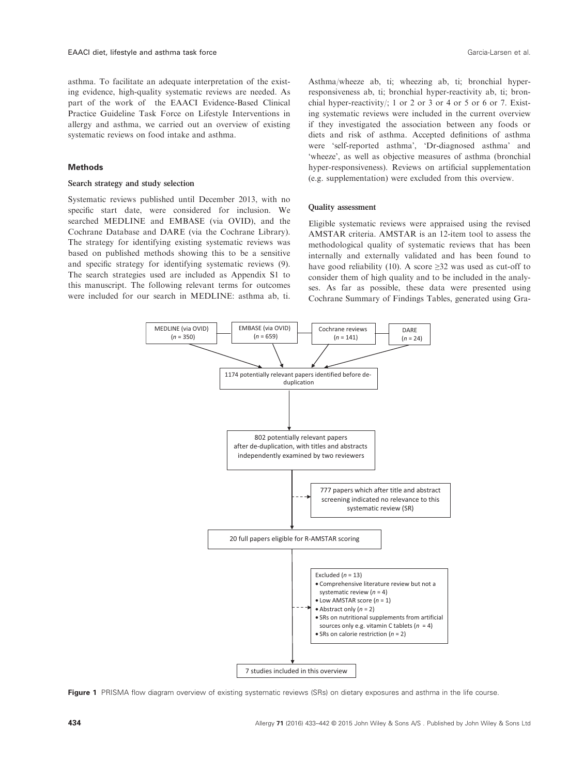asthma. To facilitate an adequate interpretation of the existing evidence, high-quality systematic reviews are needed. As part of the work of the EAACI Evidence-Based Clinical Practice Guideline Task Force on Lifestyle Interventions in allergy and asthma, we carried out an overview of existing systematic reviews on food intake and asthma.

## Methods

# Search strategy and study selection

Systematic reviews published until December 2013, with no specific start date, were considered for inclusion. We searched MEDLINE and EMBASE (via OVID), and the Cochrane Database and DARE (via the Cochrane Library). The strategy for identifying existing systematic reviews was based on published methods showing this to be a sensitive and specific strategy for identifying systematic reviews (9). The search strategies used are included as Appendix S1 to this manuscript. The following relevant terms for outcomes were included for our search in MEDLINE: asthma ab, ti.

Asthma/wheeze ab, ti; wheezing ab, ti; bronchial hyperresponsiveness ab, ti; bronchial hyper-reactivity ab, ti; bronchial hyper-reactivity/; 1 or 2 or 3 or 4 or 5 or 6 or 7. Existing systematic reviews were included in the current overview if they investigated the association between any foods or diets and risk of asthma. Accepted definitions of asthma were 'self-reported asthma', 'Dr-diagnosed asthma' and 'wheeze', as well as objective measures of asthma (bronchial hyper-responsiveness). Reviews on artificial supplementation (e.g. supplementation) were excluded from this overview.

# Quality assessment

Eligible systematic reviews were appraised using the revised AMSTAR criteria. AMSTAR is an 12-item tool to assess the methodological quality of systematic reviews that has been internally and externally validated and has been found to have good reliability (10). A score  $\geq$ 32 was used as cut-off to consider them of high quality and to be included in the analyses. As far as possible, these data were presented using Cochrane Summary of Findings Tables, generated using Gra-



Figure 1 PRISMA flow diagram overview of existing systematic reviews (SRs) on dietary exposures and asthma in the life course.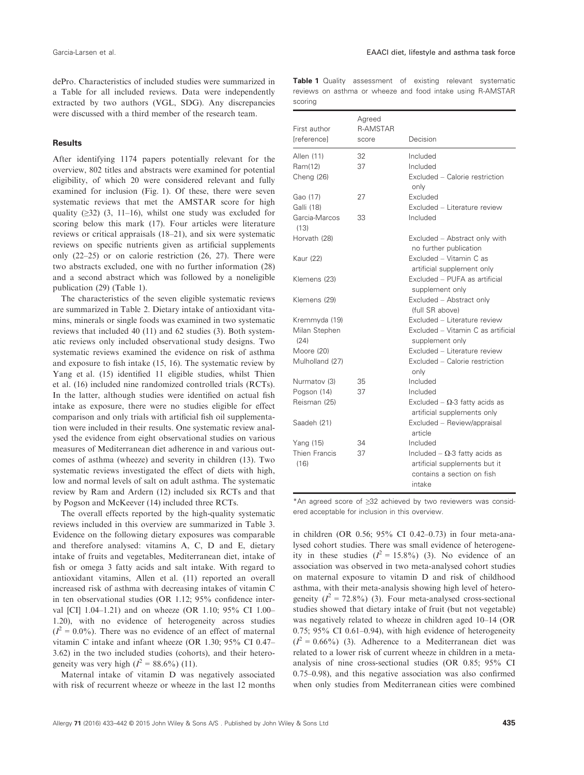dePro. Characteristics of included studies were summarized in a Table for all included reviews. Data were independently extracted by two authors (VGL, SDG). Any discrepancies were discussed with a third member of the research team.

# Results

After identifying 1174 papers potentially relevant for the overview, 802 titles and abstracts were examined for potential eligibility, of which 20 were considered relevant and fully examined for inclusion (Fig. 1). Of these, there were seven systematic reviews that met the AMSTAR score for high quality  $(≥32)$  (3, 11–16), whilst one study was excluded for scoring below this mark (17). Four articles were literature reviews or critical appraisals (18–21), and six were systematic reviews on specific nutrients given as artificial supplements only (22–25) or on calorie restriction (26, 27). There were two abstracts excluded, one with no further information (28) and a second abstract which was followed by a noneligible publication (29) (Table 1).

The characteristics of the seven eligible systematic reviews are summarized in Table 2. Dietary intake of antioxidant vitamins, minerals or single foods was examined in two systematic reviews that included 40 (11) and 62 studies (3). Both systematic reviews only included observational study designs. Two systematic reviews examined the evidence on risk of asthma and exposure to fish intake (15, 16). The systematic review by Yang et al. (15) identified 11 eligible studies, whilst Thien et al. (16) included nine randomized controlled trials (RCTs). In the latter, although studies were identified on actual fish intake as exposure, there were no studies eligible for effect comparison and only trials with artificial fish oil supplementation were included in their results. One systematic review analysed the evidence from eight observational studies on various measures of Mediterranean diet adherence in and various outcomes of asthma (wheeze) and severity in children (13). Two systematic reviews investigated the effect of diets with high, low and normal levels of salt on adult asthma. The systematic review by Ram and Ardern (12) included six RCTs and that by Pogson and McKeever (14) included three RCTs.

The overall effects reported by the high-quality systematic reviews included in this overview are summarized in Table 3. Evidence on the following dietary exposures was comparable and therefore analysed: vitamins A, C, D and E, dietary intake of fruits and vegetables, Mediterranean diet, intake of fish or omega 3 fatty acids and salt intake. With regard to antioxidant vitamins, Allen et al. (11) reported an overall increased risk of asthma with decreasing intakes of vitamin C in ten observational studies (OR 1.12; 95% confidence interval [CI] 1.04–1.21) and on wheeze (OR 1.10; 95% CI 1.00– 1.20), with no evidence of heterogeneity across studies  $(I^2 = 0.0\%)$ . There was no evidence of an effect of maternal vitamin C intake and infant wheeze (OR 1.30; 95% CI 0.47– 3.62) in the two included studies (cohorts), and their heterogeneity was very high  $(I^2 = 88.6\%)$  (11).

Maternal intake of vitamin D was negatively associated with risk of recurrent wheeze or wheeze in the last 12 months

Table 1 Quality assessment of existing relevant systematic reviews on asthma or wheeze and food intake using R-AMSTAR scoring

| First author<br><b>Ireferencel</b> | Agreed<br><b>R-AMSTAR</b><br>score | Decision                                                                                                       |
|------------------------------------|------------------------------------|----------------------------------------------------------------------------------------------------------------|
|                                    |                                    |                                                                                                                |
| Allen (11)                         | 32                                 | Included                                                                                                       |
| Ram(12)                            | 37                                 | Included                                                                                                       |
| Cheng (26)                         |                                    | Excluded - Calorie restriction<br>only                                                                         |
| Gao (17)                           | 27                                 | Excluded                                                                                                       |
| Galli (18)                         |                                    | Excluded - Literature review                                                                                   |
| Garcia-Marcos<br>(13)              | 33                                 | Included                                                                                                       |
| Horvath (28)                       |                                    | Excluded - Abstract only with                                                                                  |
|                                    |                                    | no further publication                                                                                         |
| Kaur (22)                          |                                    | Excluded - Vitamin C as                                                                                        |
|                                    |                                    | artificial supplement only                                                                                     |
| Klemens (23)                       |                                    | Excluded - PUFA as artificial<br>supplement only                                                               |
| Klemens (29)                       |                                    | Excluded - Abstract only                                                                                       |
|                                    |                                    | (full SR above)                                                                                                |
| Kremmyda (19)                      |                                    | Excluded - Literature review                                                                                   |
| Milan Stephen<br>(24)              |                                    | Excluded - Vitamin C as artificial<br>supplement only                                                          |
| Moore (20)                         |                                    | Excluded - Literature review                                                                                   |
| Mulholland (27)                    |                                    | Excluded - Calorie restriction<br>only                                                                         |
| Nurmatov (3)                       | 35                                 | Included                                                                                                       |
| Pogson (14)                        | 37                                 | Included                                                                                                       |
| Reisman (25)                       |                                    | Excluded - $\Omega$ -3 fatty acids as<br>artificial supplements only                                           |
| Saadeh (21)                        |                                    | Excluded - Review/appraisal<br>article                                                                         |
| Yang (15)                          | 34                                 | Included                                                                                                       |
| <b>Thien Francis</b><br>(16)       | 37                                 | Included - $\Omega$ -3 fatty acids as<br>artificial supplements but it<br>contains a section on fish<br>intake |

\*An agreed score of ≥32 achieved by two reviewers was considered acceptable for inclusion in this overview.

in children (OR 0.56; 95% CI 0.42–0.73) in four meta-analysed cohort studies. There was small evidence of heterogeneity in these studies  $(I^2 = 15.8\%)$  (3). No evidence of an association was observed in two meta-analysed cohort studies on maternal exposure to vitamin D and risk of childhood asthma, with their meta-analysis showing high level of heterogeneity ( $I^2 = 72.8\%$ ) (3). Four meta-analysed cross-sectional studies showed that dietary intake of fruit (but not vegetable) was negatively related to wheeze in children aged 10–14 (OR 0.75; 95% CI 0.61–0.94), with high evidence of heterogeneity  $(I^2 = 0.66\%)$  (3). Adherence to a Mediterranean diet was related to a lower risk of current wheeze in children in a metaanalysis of nine cross-sectional studies (OR 0.85; 95% CI 0.75–0.98), and this negative association was also confirmed when only studies from Mediterranean cities were combined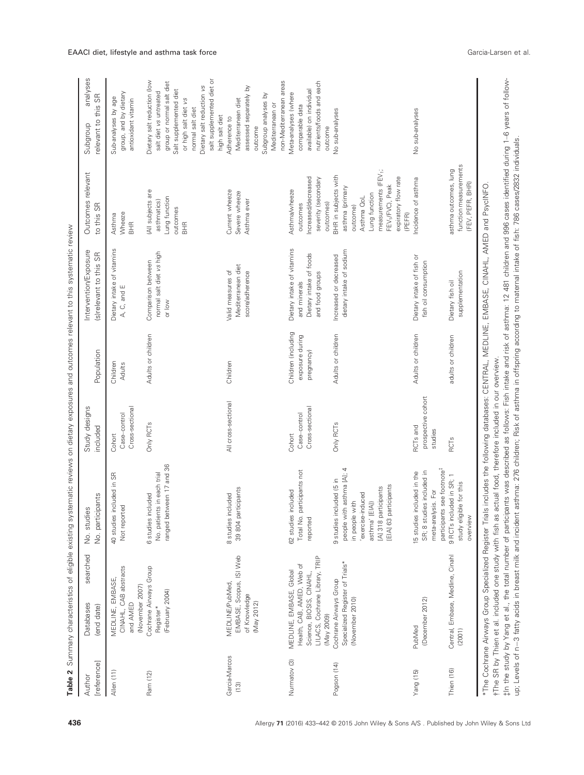| ؛<br>1                           |
|----------------------------------|
| i                                |
|                                  |
| í<br>Ì                           |
| $\frac{1}{2}$                    |
|                                  |
|                                  |
|                                  |
| $\ddot{\bm{z}}$                  |
| Ş<br>Ì<br>ï                      |
| i                                |
| ł<br>i                           |
| l<br>֕<br>ׇ֘֒<br>7               |
| ζ<br>i<br>ı                      |
| ā<br>j                           |
| 5<br>j<br>İ                      |
| ׇׅ֘֝֬                            |
| ī<br>ׇ֚֘֡                        |
|                                  |
| ֚֚֚֬<br>i<br>۱<br>į<br>i<br>j    |
| ׇ֦֚֘֝֬                           |
| ׇ֦֘֡֡֡<br>١                      |
|                                  |
|                                  |
|                                  |
| č<br>i                           |
| į<br>i                           |
| i<br>ļ<br>ī<br>֚֚֚֚֡֡֡<br>j<br>j |
| Ó<br>i                           |
| 5<br>í<br>i                      |
| Ï<br>I<br>١                      |
| I<br>י<br>١                      |
| i                                |

| [reference]<br>Author | searched<br><b>Databases</b><br>(end date)                                                                                                                                                                                                                                                                                                                                                                         | No. participants<br>No. studies                                                                                                                                 | Study designs<br>included                 | Population                                           | Intervention/Exposure<br>(s)relevant to this SR                                          | Outcomes relevant<br>to this SR                                                                                                                                                          | analyses<br>relevant to this SR<br>Subgroup                                                                                                                                                                        |
|-----------------------|--------------------------------------------------------------------------------------------------------------------------------------------------------------------------------------------------------------------------------------------------------------------------------------------------------------------------------------------------------------------------------------------------------------------|-----------------------------------------------------------------------------------------------------------------------------------------------------------------|-------------------------------------------|------------------------------------------------------|------------------------------------------------------------------------------------------|------------------------------------------------------------------------------------------------------------------------------------------------------------------------------------------|--------------------------------------------------------------------------------------------------------------------------------------------------------------------------------------------------------------------|
| Allen (11)            | CINAHL, CAB abstracts<br>MEDLINE, EMBASE,<br>and AMED                                                                                                                                                                                                                                                                                                                                                              | 40 studies included in SR<br>Not reported                                                                                                                       | Cross-sectional<br>Case-control<br>Cohort | Children<br>Adults                                   | Dietary intake of vitamins<br>A, C, and E                                                | Wheeze<br>Asthma<br>BHR                                                                                                                                                                  | group, and by dietary<br>Sub-analyses by age<br>antioxidant vitamin                                                                                                                                                |
| Ram (12)              | Cochrane Airways Group<br>(November 2007)<br>(February 2004)<br>Register*                                                                                                                                                                                                                                                                                                                                          | ranged between 17 and 36<br>No. patients in each trial<br>6 studies included                                                                                    | Only RCTs                                 | Adults or children                                   | normal salt diet vs high<br>Comparison between<br>or low                                 | (All subjects are<br>Lung function<br>asthmatics)<br>outcomes<br>BHR                                                                                                                     | salt supplemented diet or<br>Dietary salt reduction (low<br>group or normal salt diet<br>Dietary salt reduction vs<br>Salt supplemented diet<br>salt diet vs untreated<br>or high salt diet vs<br>normal salt diet |
| Garcia-Marcos<br>(13) | EMBASE, Scopus, ISI Web<br>MEDLINE/PubMed,<br>of Knowledge<br>(May 2012)                                                                                                                                                                                                                                                                                                                                           | 39 804 participants<br>8 studies included                                                                                                                       | All cross-sectional                       | Children                                             | Mediterranean diet<br>Valid measures of<br>score/adherence                               | Current wheeze<br>Severe wheeze<br>Asthma ever                                                                                                                                           | assessed separately by<br>ă<br>Mediterranean diet<br>Subgroup analyses<br>Mediterranean or<br>high salt diet<br>Adherence to<br>outcome                                                                            |
| Nurmatov (3)          | LILACS, Cochrane Library, TRIP<br>Health, CAB, AMED, Web of<br>MEDLINE, EMBASE, Global<br>Science, BIOSIS, CINAHL,<br>(May 2009)                                                                                                                                                                                                                                                                                   | Total No. participants not<br>62 studies included<br>reported                                                                                                   | Cross-sectional<br>Case-control<br>Cohort | Children (including<br>exposure during<br>pregnancy) | Dietary intake of vitamins<br>Dietary intake of foods<br>and food groups<br>and minerals | Increased/decreased<br>severity (secondary<br>Asthma/wheeze<br>outcomes)<br>outcomes                                                                                                     | non-Mediterranean areas<br>nutrients/foods and each<br>available) on individual<br>Meta-analyses (where<br>comparable data<br>outcome                                                                              |
| Pogson (14)           | Specialized Register of Trials*<br>Cochrane Airways Group<br>(November 2010)                                                                                                                                                                                                                                                                                                                                       | people with asthma [A]; 4<br>9 studies included (5 in<br>[EIA] 63 participants<br>[A] 318 participants<br>'exercise-induced<br>in people with<br>asthma' [EIA]) | Only RCTs                                 | Adults or children                                   | dietary intake of sodium<br>Increased or decreased                                       | measurements (FEV <sub>1</sub> ;<br>BHR in subjects with<br>expiratory flow rate<br>FEV <sub>1</sub> /FVC), Peak<br>asthma (primary<br>Lung function<br>Asthma OoL<br>outcome)<br>(PEFR) | No sub-analyses                                                                                                                                                                                                    |
| Yang (15)             | (December 2012)<br>PubMed                                                                                                                                                                                                                                                                                                                                                                                          | participants see footnote <sup>#</sup><br>SR; 8 studies included in<br>15 studies included in the<br>meta-analysis. For                                         | prospective cohort<br>RCTs and<br>studies | Adults or children                                   | Dietary intake of fish or<br>fish oil consumption                                        | Incidence of asthma                                                                                                                                                                      | No sub-analyses                                                                                                                                                                                                    |
| Thien (16)            | Central, Embase, Medline, Cinahl<br>(2001)                                                                                                                                                                                                                                                                                                                                                                         | 9 RCTs included in SR; 1<br>study eligible for this<br>overview                                                                                                 | <b>RCTs</b>                               | adults or children                                   | supplementation<br>Dietary fish oil                                                      | function measurements<br>asthma outcomes, lung<br>(FEV, PEFR, BHR)                                                                                                                       |                                                                                                                                                                                                                    |
|                       | the study by Yang et al., the total number of participants was described as follows: Fish intake and risk of asthma: 12 481 children and 996 cases identified during 1-6 years of follow-<br>*The Cochrane Airways Group Specialized Register Trials includes the following databases: CENTRAL, MEDLINE,<br>The SR by Thien et al. included one study with fish as actual food, therefore included in our overview |                                                                                                                                                                 |                                           |                                                      | EMBASE, CINAHL, AMED and PsycINFO                                                        |                                                                                                                                                                                          |                                                                                                                                                                                                                    |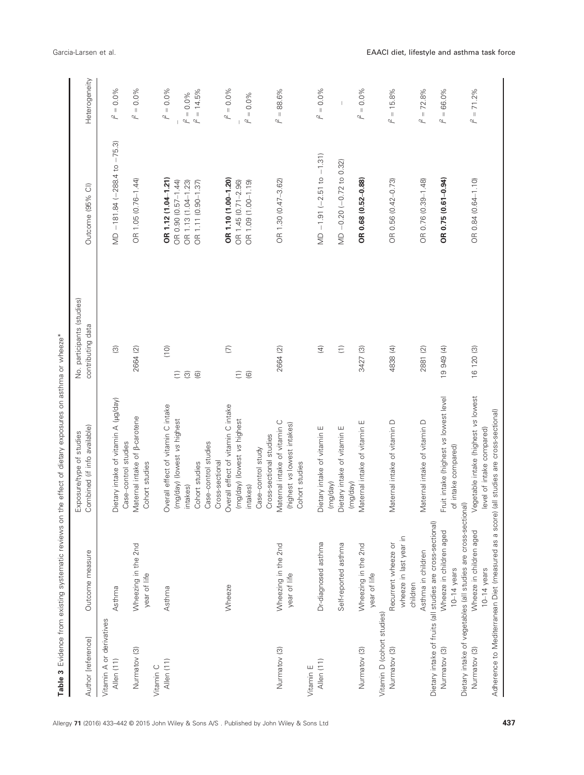|                                                                                     | Outcome (95% CI)                                         |
|-------------------------------------------------------------------------------------|----------------------------------------------------------|
|                                                                                     | No. participants (studies)<br>contributing data          |
| existing systematic reviews on the effect of dietary exposures on asthma or wheeze* | Combined (if info available)<br>Exposure/type of studies |
|                                                                                     | Jutcome measure                                          |
| Evidence from<br>able 3                                                             | uthor Ireterence                                         |

| Author [reference]         | Outcome measure                                                | Combined (if info available)<br>Exposure/type of studies                                | No. participants (studies)<br>contributing data | Outcome (95% CI)                           | Heterogeneity          |
|----------------------------|----------------------------------------------------------------|-----------------------------------------------------------------------------------------|-------------------------------------------------|--------------------------------------------|------------------------|
| Vitamin A or derivatives   |                                                                |                                                                                         |                                                 |                                            |                        |
| Allen (11)                 | Asthma                                                         | Dietary intake of vitamin A (µg/day)<br>Case-control studies                            | $\widehat{\odot}$                               | MD -181.84 (-288.4 to -75.3)               | $= 0.0\%$<br>R         |
| Nurmatov (3)               | Wheezing in the 2nd<br>year of life                            | Maternal intake of <b>B-carotene</b><br>Cohort studies                                  | 2664 (2)                                        | OR 1.05 (0.76-1.44)                        | $= 0.0\%$<br>P         |
| Vitamin C                  |                                                                |                                                                                         |                                                 |                                            |                        |
| Allen (11)                 | Asthma                                                         | Overall effect of vitamin C intake                                                      | (10)                                            | OR 1.12 (1.04-1.21)                        | $\mathcal{P}=0.0\%$    |
|                            |                                                                | (mg/day) (lowest vs highest                                                             | $\widehat{z}$                                   | OR 0.90 (0.57-1.44)                        | $\mathcal{F}=0.0\%$    |
|                            |                                                                | Cohort studies<br>intakes)                                                              | $\widehat{\odot}$<br>$\circledcirc$             | OR 1.13 (1.04-1.23)<br>OR 1.11 (0.90-1.37) | $= 14.5%$<br>$\approx$ |
|                            |                                                                | Case-control studies                                                                    |                                                 |                                            |                        |
|                            |                                                                | Cross-sectional                                                                         |                                                 |                                            |                        |
|                            | Wheeze                                                         | Overall effect of vitamin C intake                                                      | $\widehat{\triangleright}$                      | OR 1.10 (1.00-1.20)                        | $= 0.0\%$<br>R         |
|                            |                                                                | (mg/day) (lowest vs highest                                                             | $\widehat{\Xi}$                                 | OR 1.45 (0.71-2.96)                        |                        |
|                            |                                                                | intakes)                                                                                | $\copyright$                                    | OR 1.09 (1.00-1.19)                        | $\mathcal{P}=0.0\%$    |
|                            |                                                                | Case-control study                                                                      |                                                 |                                            |                        |
|                            |                                                                | Cross-sectional studies                                                                 |                                                 |                                            |                        |
| Nurmatov (3)               | Wheezing in the 2nd                                            | Maternal intake of vitamin C                                                            | 2664 (2)                                        | OR 1.30 (0.47-3.62)                        | $\mathcal{F}=88.6\%$   |
|                            | year of life                                                   | (highest vs lowest intakes)                                                             |                                                 |                                            |                        |
| Vitamin E                  |                                                                | Cohort studies                                                                          |                                                 |                                            |                        |
|                            |                                                                |                                                                                         |                                                 |                                            |                        |
| Allen (11)                 | Dr-diagnosed asthma                                            | ш<br>Dietary intake of vitamin<br>(mg/day)                                              | $\widehat{\mathcal{A}}$                         | $MD -1.91 (-2.51 to -1.31)$                | $= 0.0%$<br>R          |
|                            | Self-reported asthma                                           | Ш<br>Dietary intake of vitamin                                                          | $\widehat{z}$                                   | MD -0.20 (-0.72 to 0.32)                   | T                      |
|                            |                                                                | (mg/day)                                                                                |                                                 |                                            |                        |
| Nurmatov (3)               | Wheezing in the 2nd<br>year of life                            | Maternal intake of vitamin E                                                            | 3427 (3)                                        | OR 0.68 (0.52-0.88)                        | $\mathcal{V}=0.0\%$    |
| Vitamin D (cohort studies) |                                                                |                                                                                         |                                                 |                                            |                        |
| Nurmatov (3)               | Recurrent wheeze or                                            | Maternal intake of vitamin D                                                            | 4838 (4)                                        | OR 0.56 (0.42-0.73)                        | $= 15.8%$<br>$\approx$ |
|                            | wheeze in last year in                                         |                                                                                         |                                                 |                                            |                        |
|                            | children                                                       |                                                                                         |                                                 |                                            |                        |
|                            | Asthma in children                                             | Maternal intake of vitamin D                                                            | 2881 (2)                                        | OR 0.76 (0.39-1.48)                        | $= 72.8%$<br>R         |
|                            | Dietary intake of fruits (all studies are cross-sectional)     |                                                                                         |                                                 |                                            |                        |
| Nurmatov <sup>(3)</sup>    | Wheeze in children aged                                        | Fruit intake (highest vs lowest level                                                   | 19 949 (4)                                      | OR 0.75 (0.61-0.94)                        | $P = 66.0\%$           |
|                            | $10-14$ years                                                  | of intake compared)                                                                     |                                                 |                                            |                        |
|                            | Dietary intake of vegetables (all studies are cross-sectional) |                                                                                         |                                                 |                                            |                        |
| Nurmatov (3)               | Wheeze in children aged                                        | Vegetable intake (highest vs lowest                                                     | 16 120 (3)                                      | OR 0.84 (0.64-1.10)                        | $= 71.2%$<br>$\approx$ |
|                            | $10-14$ years                                                  | level of intake compared)                                                               |                                                 |                                            |                        |
|                            |                                                                | Adherence to Mediterranean Diet (measured as a score) (all studies are cross-sectional) |                                                 |                                            |                        |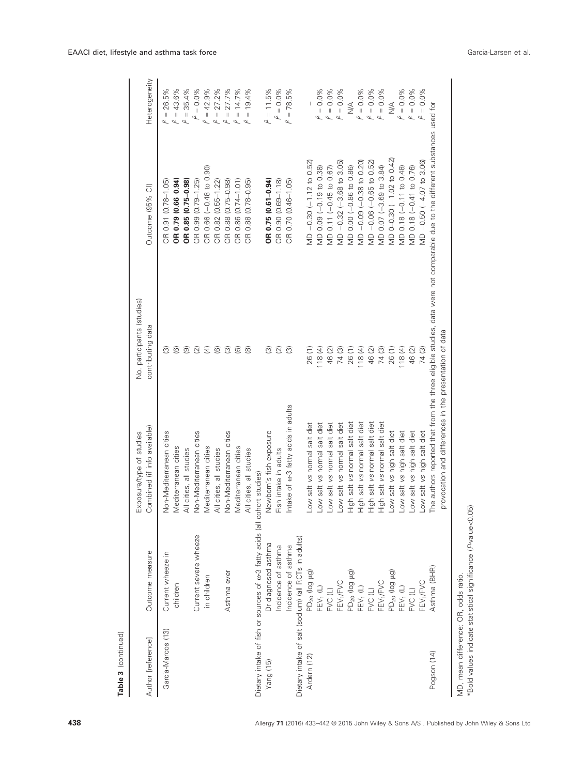| Author [reference]                   | Outcome measure                                                                                                                                    | Combined (if info available)<br>Exposure/type of studies | No. participants (studies)<br>contributing data | Outcome (95% CI)                                                                                                             | Heterogeneity                                   |
|--------------------------------------|----------------------------------------------------------------------------------------------------------------------------------------------------|----------------------------------------------------------|-------------------------------------------------|------------------------------------------------------------------------------------------------------------------------------|-------------------------------------------------|
| Garcia-Marcos (13)                   | Current wheeze in                                                                                                                                  | Non-Mediterranean cities                                 | $\omega$                                        | $(0.78 - 1.05)$<br>OR 0.91                                                                                                   | 26.5%<br>$\lvert \rvert$                        |
|                                      |                                                                                                                                                    |                                                          |                                                 |                                                                                                                              |                                                 |
|                                      | children                                                                                                                                           | Mediterranean cities                                     | <u>ିତ</u>                                       | OR 0.79 (0.66-0.94)                                                                                                          | $l^2 = 43.6\%$                                  |
|                                      |                                                                                                                                                    | All cities, all studies                                  | බු                                              | OR 0.85 (0.75-0.98)                                                                                                          | $= 35.4%$<br>R                                  |
|                                      | Current severe wheeze                                                                                                                              | Non-Mediterranean cities                                 | $\widetilde{\Omega}$                            | OR 0.99 (0.79-1.25)                                                                                                          | $l^2=0.0\%$                                     |
|                                      | in children                                                                                                                                        | Mediterranean cities                                     | $\widehat{\mathcal{A}}$                         | OR 0.66 (-0.48 to 0.90)                                                                                                      | $= 42.9%$<br>$\overline{a}$                     |
|                                      |                                                                                                                                                    | All cities, all studies                                  | $\odot$                                         | $(0.55 - 1.22)$<br>OR 0.82                                                                                                   | 27.2%<br>$\ $<br>P                              |
|                                      | Asthma ever                                                                                                                                        | Non-Mediterranean cities                                 | $\widetilde{\omega}$                            | $(0.75 - 0.98)$<br>0.88<br>$\overline{6}$                                                                                    | 27.7%<br>$\left\vert {}\right\vert$<br>$\sigma$ |
|                                      |                                                                                                                                                    | Mediterranean cities                                     | <u>ିତ</u>                                       | $(0.74 - 1.01)$<br>0.86<br>OR <sub></sub>                                                                                    | 14.7%<br>$\parallel$<br>$\sigma$                |
|                                      |                                                                                                                                                    | All cities, all studies                                  | $\infty$                                        | $(0.78 - 0.95)$<br>0.88<br>$\frac{1}{2}$                                                                                     | 19.4%<br>$\parallel$<br>$\sigma$                |
|                                      | Dietary intake of fish or sources of $\omega$ -3 fatty acids (all cohort studies)                                                                  |                                                          |                                                 |                                                                                                                              |                                                 |
| Yang (15)                            | Dr-diagnosed asthma                                                                                                                                | Newborn's fish exposure                                  | ကြ                                              | OR 0.75 (0.61-0.94)                                                                                                          | $= 11.5%$<br>R                                  |
|                                      | Incidence of asthma                                                                                                                                | Fish intake in adults                                    | $\widetilde{\vartriangle}$                      | OR 0.90 (0.69-1.18)                                                                                                          | $l^2 = 0.0\%$                                   |
|                                      | Incidence of asthma                                                                                                                                | Intake of $\omega$ -3 fatty acids in adults              | õ                                               | OR 0.70 (0.46-1.05)                                                                                                          | $= 78.5%$<br>R                                  |
|                                      | Dietary intake of salt (sodium) (all RCTs in adults)                                                                                               |                                                          |                                                 |                                                                                                                              |                                                 |
| Ardern (12)                          | $PD_{20}$ (log $\mu$ g)                                                                                                                            | Low salt vs normal salt diet                             | 26(1)                                           | $MD -0.30 (-1.12 to 0.52)$                                                                                                   |                                                 |
|                                      | $\mathsf{FEV}_1$ (L)                                                                                                                               | Low salt vs normal salt diet                             | 118 (4)                                         | MD 0.09 (-0.19 to 0.38)                                                                                                      | $= 0.0\%$                                       |
|                                      | $FVC$ (L)                                                                                                                                          | Low salt vs normal salt diet                             | 46(2)                                           | $0.11 (-0.45 to 0.67)$<br>$\overline{a}$                                                                                     | $l^2=0.0\%$                                     |
|                                      |                                                                                                                                                    | Low salt vs normal salt diet                             | 74 (3)                                          | $-0.32$ ( $-3.68$ to 3.05)<br>$\frac{1}{2}$                                                                                  | $l^2=0.0\%$                                     |
|                                      | FEV <sub>1</sub> /FVC<br>PD <sub>20</sub> (log μg)<br>FEV <sub>1</sub> (L)                                                                         | diet<br>High salt vs normal salt                         | 26(1)                                           | $0.00 (-0.86 to 0.86)$<br>$\frac{1}{2}$                                                                                      | $\frac{1}{2}$                                   |
|                                      |                                                                                                                                                    | High salt vs normal salt diet                            | 18(4)                                           | $-0.09(-0.38$ to 0.20)<br>$\frac{1}{2}$                                                                                      | $l^2=0.0\%$                                     |
|                                      | $FVC$ (L)                                                                                                                                          | High salt vs normal salt diet                            | 46(2)                                           | $-0.06$ ( $-0.65$ to 0.52)<br>$\frac{1}{2}$                                                                                  | $l^2=0.0\%$                                     |
|                                      | $\begin{array}{l} \mathsf{FEV}_{1}/\mathsf{FVC} \\ \mathsf{PD}_{20} \ (\mathsf{log} \ \mathsf{µg}) \\ \mathsf{FEV}_{1} \ (\mathsf{L}) \end{array}$ | High salt vs normal salt diet                            | 74 (3)                                          | $0.07 (-3.69 to 3.84)$<br>$\overline{a}$                                                                                     | $l^2=0.0\%$                                     |
|                                      |                                                                                                                                                    | Low salt vs high salt diet                               | 26(1)                                           | MD 0-0.30 (-1.02 to 0.42)                                                                                                    | $\frac{1}{2}$                                   |
|                                      |                                                                                                                                                    | Low salt vs high salt diet                               | 118(4)                                          | MD 0.18 (-0.11 to 0.48)                                                                                                      | $l^2=0.0\%$                                     |
|                                      | $FVC (L)$                                                                                                                                          | Low salt vs high salt diet                               | 46(2)                                           | MD 0.18 (-0.41 to 0.76)                                                                                                      | $l^2=0.0\%$                                     |
|                                      | FEV <sub>1</sub> /FVC                                                                                                                              | Low salt vs high salt diet                               | 74 (3)                                          | $MD -0.50 (-4.07 to 3.06)$                                                                                                   | $l^2=0.0\%$                                     |
| Pogson (14)                          | Asthma (BHR)                                                                                                                                       |                                                          |                                                 | The authors reported that from the three eligible studies, data were not comparable due to the different substances used for |                                                 |
|                                      |                                                                                                                                                    | provocation and differences in the presentation of data  |                                                 |                                                                                                                              |                                                 |
| MD, mean difference; OR, odds ratio. | Bold values indicate statistical significance (P-value<0.05)                                                                                       |                                                          |                                                 |                                                                                                                              |                                                 |
|                                      |                                                                                                                                                    |                                                          |                                                 |                                                                                                                              |                                                 |

Table 3 (continued)

Table 3 (continued)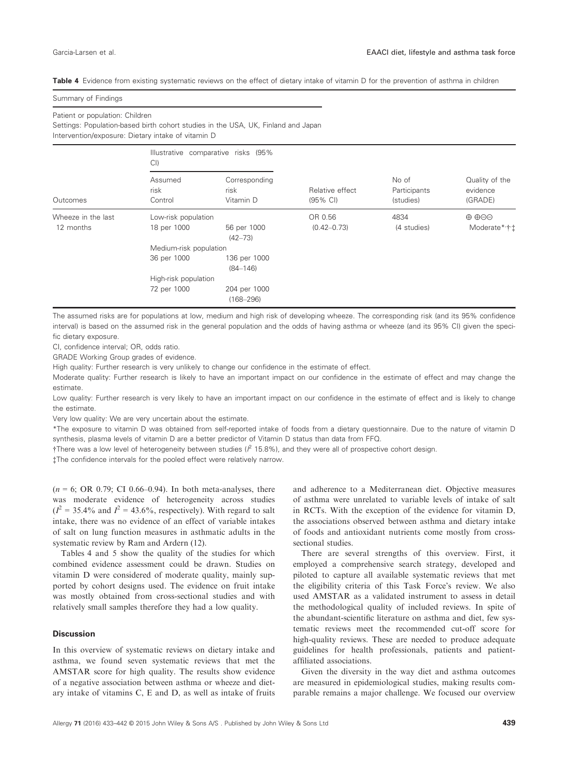Table 4 Evidence from existing systematic reviews on the effect of dietary intake of vitamin D for the prevention of asthma in children

#### Summary of Findings

Patient or population: Children

Settings: Population-based birth cohort studies in the USA, UK, Finland and Japan Intervention/exposure: Dietary intake of vitamin D

|                    | Illustrative comparative risks (95%<br>Cl |                                    |                                       |                                    |                                       |
|--------------------|-------------------------------------------|------------------------------------|---------------------------------------|------------------------------------|---------------------------------------|
| Outcomes           | Assumed<br>risk<br>Control                | Corresponding<br>risk<br>Vitamin D | Relative effect<br>$(95% \text{ Cl})$ | No of<br>Participants<br>(studies) | Quality of the<br>evidence<br>(GRADE) |
| Wheeze in the last | Low-risk population                       |                                    | OR 0.56                               | 4834                               | $\oplus$ $\oplus$ $\ominus$           |
| 12 months          | 18 per 1000                               | 56 per 1000<br>$(42 - 73)$         | $(0.42 - 0.73)$                       | (4 studies)                        | Moderate* <sub>*†'</sub>              |
|                    | Medium-risk population                    |                                    |                                       |                                    |                                       |
|                    | 36 per 1000                               | 136 per 1000<br>$(84 - 146)$       |                                       |                                    |                                       |
|                    | High-risk population                      |                                    |                                       |                                    |                                       |
|                    | 72 per 1000                               | 204 per 1000<br>$(168 - 296)$      |                                       |                                    |                                       |

The assumed risks are for populations at low, medium and high risk of developing wheeze. The corresponding risk (and its 95% confidence interval) is based on the assumed risk in the general population and the odds of having asthma or wheeze (and its 95% CI) given the specific dietary exposure.

CI, confidence interval; OR, odds ratio.

GRADE Working Group grades of evidence.

High quality: Further research is very unlikely to change our confidence in the estimate of effect.

Moderate quality: Further research is likely to have an important impact on our confidence in the estimate of effect and may change the estimate.

Low quality: Further research is very likely to have an important impact on our confidence in the estimate of effect and is likely to change the estimate.

Very low quality: We are very uncertain about the estimate.

\*The exposure to vitamin D was obtained from self-reported intake of foods from a dietary questionnaire. Due to the nature of vitamin D synthesis, plasma levels of vitamin D are a better predictor of Vitamin D status than data from FFQ.

†There was a low level of heterogeneity between studies ( $\beta$  15.8%), and they were all of prospective cohort design.

‡The confidence intervals for the pooled effect were relatively narrow.

 $(n = 6; \text{ OR } 0.79; \text{ CI } 0.66-0.94)$ . In both meta-analyses, there was moderate evidence of heterogeneity across studies  $(I^2 = 35.4\%$  and  $I^2 = 43.6\%$ , respectively). With regard to salt intake, there was no evidence of an effect of variable intakes of salt on lung function measures in asthmatic adults in the systematic review by Ram and Ardern (12).

Tables 4 and 5 show the quality of the studies for which combined evidence assessment could be drawn. Studies on vitamin D were considered of moderate quality, mainly supported by cohort designs used. The evidence on fruit intake was mostly obtained from cross-sectional studies and with relatively small samples therefore they had a low quality.

#### Discussion

In this overview of systematic reviews on dietary intake and asthma, we found seven systematic reviews that met the AMSTAR score for high quality. The results show evidence of a negative association between asthma or wheeze and dietary intake of vitamins C, E and D, as well as intake of fruits and adherence to a Mediterranean diet. Objective measures of asthma were unrelated to variable levels of intake of salt in RCTs. With the exception of the evidence for vitamin D, the associations observed between asthma and dietary intake of foods and antioxidant nutrients come mostly from crosssectional studies.

There are several strengths of this overview. First, it employed a comprehensive search strategy, developed and piloted to capture all available systematic reviews that met the eligibility criteria of this Task Force's review. We also used AMSTAR as a validated instrument to assess in detail the methodological quality of included reviews. In spite of the abundant-scientific literature on asthma and diet, few systematic reviews meet the recommended cut-off score for high-quality reviews. These are needed to produce adequate guidelines for health professionals, patients and patientaffiliated associations.

Given the diversity in the way diet and asthma outcomes are measured in epidemiological studies, making results comparable remains a major challenge. We focused our overview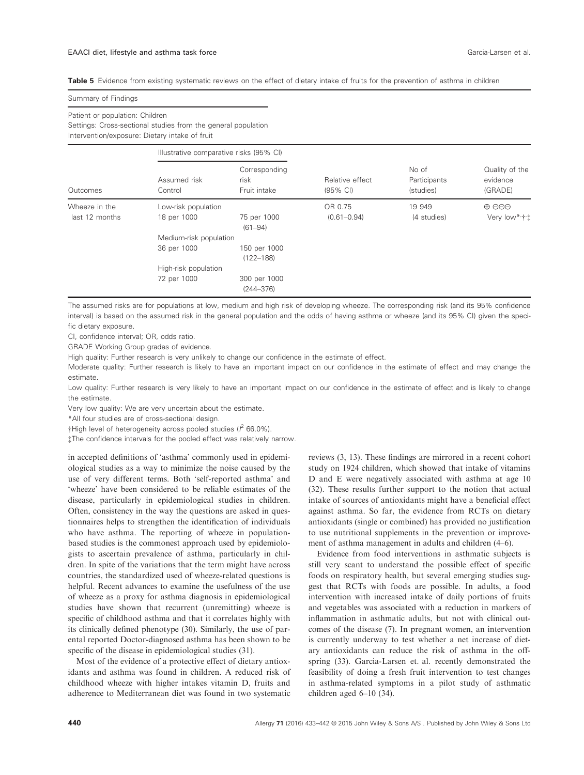Table 5 Evidence from existing systematic reviews on the effect of dietary intake of fruits for the prevention of asthma in children

# Summary of Findings

Patient or population: Children Settings: Cross-sectional studies from the general population

Intervention/exposure: Dietary intake of fruit

|                |                         | Illustrative comparative risks (95% CI) |                                       |                                    |                                       |
|----------------|-------------------------|-----------------------------------------|---------------------------------------|------------------------------------|---------------------------------------|
| Outcomes       | Assumed risk<br>Control | Corresponding<br>risk<br>Fruit intake   | Relative effect<br>$(95% \text{ Cl})$ | No of<br>Participants<br>(studies) | Quality of the<br>evidence<br>(GRADE) |
| Wheeze in the  | Low-risk population     |                                         | OR 0.75                               | 19 949                             | $\oplus$ $\ominus$ $\ominus$          |
| last 12 months | 18 per 1000             | 75 per 1000<br>$(61 - 94)$              | $(0.61 - 0.94)$                       | (4 studies)                        | Very low* <sup>*</sup> rt             |
|                | Medium-risk population  |                                         |                                       |                                    |                                       |
|                | 36 per 1000             | 150 per 1000<br>$(122 - 188)$           |                                       |                                    |                                       |
|                | High-risk population    |                                         |                                       |                                    |                                       |
|                | 72 per 1000             | 300 per 1000<br>$(244 - 376)$           |                                       |                                    |                                       |

The assumed risks are for populations at low, medium and high risk of developing wheeze. The corresponding risk (and its 95% confidence interval) is based on the assumed risk in the general population and the odds of having asthma or wheeze (and its 95% CI) given the specific dietary exposure.

CI, confidence interval; OR, odds ratio.

GRADE Working Group grades of evidence.

High quality: Further research is very unlikely to change our confidence in the estimate of effect.

Moderate quality: Further research is likely to have an important impact on our confidence in the estimate of effect and may change the estimate.

Low quality: Further research is very likely to have an important impact on our confidence in the estimate of effect and is likely to change the estimate.

Very low quality: We are very uncertain about the estimate.

\*All four studies are of cross-sectional design.

†High level of heterogeneity across pooled studies ( $\beta$  66.0%).

‡The confidence intervals for the pooled effect was relatively narrow.

in accepted definitions of 'asthma' commonly used in epidemiological studies as a way to minimize the noise caused by the use of very different terms. Both 'self-reported asthma' and 'wheeze' have been considered to be reliable estimates of the disease, particularly in epidemiological studies in children. Often, consistency in the way the questions are asked in questionnaires helps to strengthen the identification of individuals who have asthma. The reporting of wheeze in populationbased studies is the commonest approach used by epidemiologists to ascertain prevalence of asthma, particularly in children. In spite of the variations that the term might have across countries, the standardized used of wheeze-related questions is helpful. Recent advances to examine the usefulness of the use of wheeze as a proxy for asthma diagnosis in epidemiological studies have shown that recurrent (unremitting) wheeze is specific of childhood asthma and that it correlates highly with its clinically defined phenotype (30). Similarly, the use of parental reported Doctor-diagnosed asthma has been shown to be specific of the disease in epidemiological studies (31).

Most of the evidence of a protective effect of dietary antioxidants and asthma was found in children. A reduced risk of childhood wheeze with higher intakes vitamin D, fruits and adherence to Mediterranean diet was found in two systematic reviews (3, 13). These findings are mirrored in a recent cohort study on 1924 children, which showed that intake of vitamins D and E were negatively associated with asthma at age 10 (32). These results further support to the notion that actual intake of sources of antioxidants might have a beneficial effect against asthma. So far, the evidence from RCTs on dietary antioxidants (single or combined) has provided no justification to use nutritional supplements in the prevention or improvement of asthma management in adults and children (4–6).

Evidence from food interventions in asthmatic subjects is still very scant to understand the possible effect of specific foods on respiratory health, but several emerging studies suggest that RCTs with foods are possible. In adults, a food intervention with increased intake of daily portions of fruits and vegetables was associated with a reduction in markers of inflammation in asthmatic adults, but not with clinical outcomes of the disease (7). In pregnant women, an intervention is currently underway to test whether a net increase of dietary antioxidants can reduce the risk of asthma in the offspring (33). Garcia-Larsen et. al. recently demonstrated the feasibility of doing a fresh fruit intervention to test changes in asthma-related symptoms in a pilot study of asthmatic children aged 6–10 (34).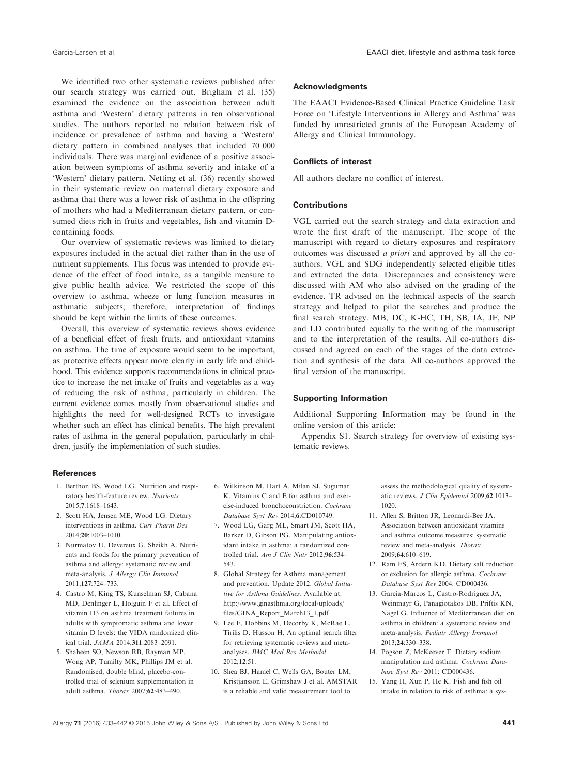We identified two other systematic reviews published after our search strategy was carried out. Brigham et al. (35) examined the evidence on the association between adult asthma and 'Western' dietary patterns in ten observational studies. The authors reported no relation between risk of incidence or prevalence of asthma and having a 'Western' dietary pattern in combined analyses that included 70 000 individuals. There was marginal evidence of a positive association between symptoms of asthma severity and intake of a 'Western' dietary pattern. Netting et al. (36) recently showed in their systematic review on maternal dietary exposure and asthma that there was a lower risk of asthma in the offspring of mothers who had a Mediterranean dietary pattern, or consumed diets rich in fruits and vegetables, fish and vitamin Dcontaining foods.

Our overview of systematic reviews was limited to dietary exposures included in the actual diet rather than in the use of nutrient supplements. This focus was intended to provide evidence of the effect of food intake, as a tangible measure to give public health advice. We restricted the scope of this overview to asthma, wheeze or lung function measures in asthmatic subjects; therefore, interpretation of findings should be kept within the limits of these outcomes.

Overall, this overview of systematic reviews shows evidence of a beneficial effect of fresh fruits, and antioxidant vitamins on asthma. The time of exposure would seem to be important, as protective effects appear more clearly in early life and childhood. This evidence supports recommendations in clinical practice to increase the net intake of fruits and vegetables as a way of reducing the risk of asthma, particularly in children. The current evidence comes mostly from observational studies and highlights the need for well-designed RCTs to investigate whether such an effect has clinical benefits. The high prevalent rates of asthma in the general population, particularly in children, justify the implementation of such studies.

#### Acknowledgments

The EAACI Evidence-Based Clinical Practice Guideline Task Force on 'Lifestyle Interventions in Allergy and Asthma' was funded by unrestricted grants of the European Academy of Allergy and Clinical Immunology.

# Conflicts of interest

All authors declare no conflict of interest.

# **Contributions**

VGL carried out the search strategy and data extraction and wrote the first draft of the manuscript. The scope of the manuscript with regard to dietary exposures and respiratory outcomes was discussed a priori and approved by all the coauthors. VGL and SDG independently selected eligible titles and extracted the data. Discrepancies and consistency were discussed with AM who also advised on the grading of the evidence. TR advised on the technical aspects of the search strategy and helped to pilot the searches and produce the final search strategy. MB, DC, K-HC, TH, SB, IA, JF, NP and LD contributed equally to the writing of the manuscript and to the interpretation of the results. All co-authors discussed and agreed on each of the stages of the data extraction and synthesis of the data. All co-authors approved the final version of the manuscript.

# Supporting Information

Additional Supporting Information may be found in the online version of this article:

Appendix S1. Search strategy for overview of existing systematic reviews.

# **References**

- 1. Berthon BS, Wood LG. Nutrition and respiratory health-feature review. Nutrients 2015;7:1618–1643.
- 2. Scott HA, Jensen ME, Wood LG. Dietary interventions in asthma. Curr Pharm Des 2014;20:1003–1010.
- 3. Nurmatov U, Devereux G, Sheikh A. Nutrients and foods for the primary prevention of asthma and allergy: systematic review and meta-analysis. J Allergy Clin Immunol 2011;127:724–733.
- 4. Castro M, King TS, Kunselman SJ, Cabana MD, Denlinger L, Holguin F et al. Effect of vitamin D3 on asthma treatment failures in adults with symptomatic asthma and lower vitamin D levels: the VIDA randomized clinical trial. JAMA 2014;311:2083–2091.
- 5. Shaheen SO, Newson RB, Rayman MP, Wong AP, Tumilty MK, Phillips JM et al. Randomised, double blind, placebo-controlled trial of selenium supplementation in adult asthma. Thorax 2007;62:483–490.
- 6. Wilkinson M, Hart A, Milan SJ, Sugumar K. Vitamins C and E for asthma and exercise-induced bronchoconstriction. Cochrane Database Syst Rev 2014;6:CD010749.
- 7. Wood LG, Garg ML, Smart JM, Scott HA, Barker D, Gibson PG. Manipulating antioxidant intake in asthma: a randomized controlled trial. Am J Clin Nutr 2012;96:534– 543.
- 8. Global Strategy for Asthma management and prevention. Update 2012. Global Initiative for Asthma Guidelines. Available at: [http://www.ginasthma.org/local/uploads/](http://www.ginasthma.org/local/uploads/files/GINA_Report_March13_1.pdf ) [files/GINA\\_Report\\_March13\\_1.pdf](http://www.ginasthma.org/local/uploads/files/GINA_Report_March13_1.pdf )
- 9. Lee E, Dobbins M, Decorby K, McRae L, Tirilis D, Husson H. An optimal search filter for retrieving systematic reviews and metaanalyses. BMC Med Res Methodol  $2012:12:51$
- 10. Shea BJ, Hamel C, Wells GA, Bouter LM, Kristjansson E, Grimshaw J et al. AMSTAR is a reliable and valid measurement tool to

assess the methodological quality of systematic reviews. J Clin Epidemiol 2009;62:1013– 1020.

- 11. Allen S, Britton JR, Leonardi-Bee JA. Association between antioxidant vitamins and asthma outcome measures: systematic review and meta-analysis. Thorax 2009;64:610–619.
- 12. Ram FS, Ardern KD. Dietary salt reduction or exclusion for allergic asthma. Cochrane Database Syst Rev 2004: CD000436.
- 13. Garcia-Marcos L, Castro-Rodriguez JA, Weinmayr G, Panagiotakos DB, Priftis KN, Nagel G. Influence of Mediterranean diet on asthma in children: a systematic review and meta-analysis. Pediatr Allergy Immunol 2013;24:330–338.
- 14. Pogson Z, McKeever T. Dietary sodium manipulation and asthma. Cochrane Database Syst Rev 2011: CD000436.
- 15. Yang H, Xun P, He K. Fish and fish oil intake in relation to risk of asthma: a sys-